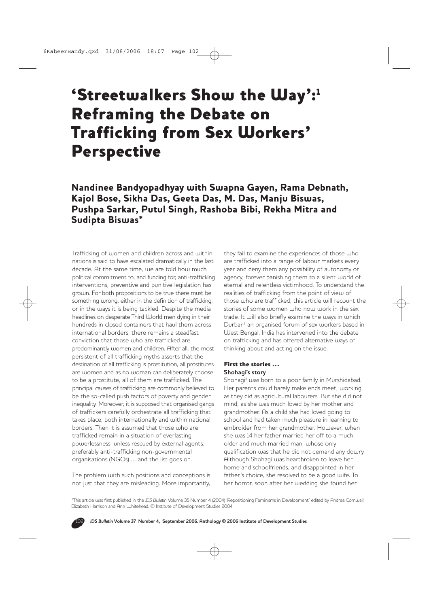# 'Streetwalkers Show the Way':1 Reframing the Debate on Trafficking from Sex Workers' Perspective

Nandinee Bandyopadhyay with Swapna Gayen, Rama Debnath, Kajol Bose, Sikha Das, Geeta Das, M. Das, Manju Biswas, Pushpa Sarkar, Putul Singh, Rashoba Bibi, Rekha Mitra and Sudipta Biswas\*

Trafficking of women and children across and within nations is said to have escalated dramatically in the last decade. At the same time, we are told how much political commitment to, and funding for, anti-trafficking interventions, preventive and punitive legislation has grown. For both propositions to be true there must be something wrong, either in the definition of trafficking, or in the ways it is being tackled. Despite the media headlines on desperate Third World men dying in their hundreds in closed containers that haul them across international borders, there remains a steadfast conviction that those who are trafficked are predominantly women and children. After all, the most persistent of all trafficking myths asserts that the destination of all trafficking is prostitution, all prostitutes are women and as no woman can deliberately choose to be a prostitute, all of them are trafficked. The principal causes of trafficking are commonly believed to be the so-called push factors of poverty and gender inequality. Moreover, it is supposed that organised gangs of traffickers carefully orchestrate all trafficking that takes place, both internationally and within national borders. Then it is assumed that those who are trafficked remain in a situation of everlasting powerlessness, unless rescued by external agents, preferably anti-trafficking non-governmental organisations (NGOs) … and the list goes on.

The problem with such positions and conceptions is not just that they are misleading. More importantly, they fail to examine the experiences of those who are trafficked into a range of labour markets every year and deny them any possibility of autonomy or agency, forever banishing them to a silent world of eternal and relentless victimhood. To understand the realities of trafficking from the point of view of those who are trafficked, this article will recount the stories of some women who now work in the sex trade. It will also briefly examine the ways in which Durbar,<sup>2</sup> an organised forum of sex workers based in West Bengal, India has intervened into the debate on trafficking and has offered alternative ways of thinking about and acting on the issue.

# First the stories … **Shohagi's story**

Shohagi<sup>3</sup> was born to a poor family in Murshidabad. Her parents could barely make ends meet, working as they did as agricultural labourers. But she did not mind, as she was much loved by her mother and grandmother. As a child she had loved going to school and had taken much pleasure in learning to embroider from her grandmother. However, when she was 14 her father married her off to a much older and much married man, whose only qualification was that he did not demand any dowry. Although Shohagi was heartbroken to leave her home and schoolfriends, and disappointed in her father's choice, she resolved to be a good wife. To her horror, soon after her wedding she found her

\*This article was first published in the *IDS Bulletin* Volume 35 Number 4 (2004) 'Repositioning Feminisms in Development' edited by Andrea Cornwall, Elizabeth Harrison and Ann Whitehead. © Institute of Development Studies 2004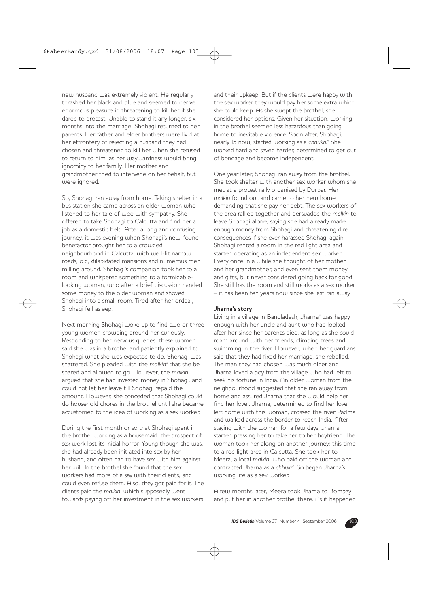new husband was extremely violent. He regularly thrashed her black and blue and seemed to derive enormous pleasure in threatening to kill her if she dared to protest. Unable to stand it any longer, six months into the marriage, Shohagi returned to her parents. Her father and elder brothers were livid at her effrontery of rejecting a husband they had chosen and threatened to kill her when she refused to return to him, as her waywardness would bring ignominy to her family. Her mother and grandmother tried to intervene on her behalf, but were ignored.

So, Shohagi ran away from home. Taking shelter in a bus station she came across an older woman who listened to her tale of woe with sympathy. She offered to take Shohagi to Calcutta and find her a job as a domestic help. After a long and confusing journey, it was evening when Shohagi's new-found benefactor brought her to a crowded neighbourhood in Calcutta, with well-lit narrow roads, old, dilapidated mansions and numerous men milling around. Shohagi's companion took her to a room and whispered something to a formidablelooking woman, who after a brief discussion handed some money to the older woman and shoved Shohagi into a small room. Tired after her ordeal, Shohagi fell asleep.

Next morning Shohagi woke up to find two or three young women crowding around her curiously. Responding to her nervous queries, these women said she was in a brothel and patiently explained to Shohagi what she was expected to do. Shohagi was shattered. She pleaded with the *malkin*<sup>4</sup> that she be spared and allowed to go. However, the *malkin* argued that she had invested money in Shohagi, and could not let her leave till Shohagi repaid the amount. However, she conceded that Shohagi could do household chores in the brothel until she became accustomed to the idea of working as a sex worker.

During the first month or so that Shohagi spent in the brothel working as a housemaid, the prospect of sex work lost its initial horror. Young though she was, she had already been initiated into sex by her husband, and often had to have sex with him against her will. In the brothel she found that the sex workers had more of a say with their clients, and could even refuse them. Also, they got paid for it. The clients paid the *malkin*, which supposedly went towards paying off her investment in the sex workers

and their upkeep. But if the clients were happy with the sex worker they would pay her some extra which she could keep. As she swept the brothel, she considered her options. Given her situation, working in the brothel seemed less hazardous than going home to inevitable violence. Soon after, Shohagi, nearly 15 now, started working as a *chhukri*. <sup>5</sup> She worked hard and saved harder, determined to get out of bondage and become independent.

One year later, Shohagi ran away from the brothel. She took shelter with another sex worker whom she met at a protest rally organised by Durbar. Her *malkin* found out and came to her new home demanding that she pay her debt. The sex workers of the area rallied together and persuaded the *malkin* to leave Shohagi alone, saying she had already made enough money from Shohagi and threatening dire consequences if she ever harassed Shohagi again. Shohagi rented a room in the red light area and started operating as an independent sex worker. Every once in a while she thought of her mother and her grandmother, and even sent them money and gifts, but never considered going back for good. She still has the room and still works as a sex worker – it has been ten years now since she last ran away.

## **Jharna's story**

Living in a village in Bangladesh, Jharna<sup>6</sup> was happy enough with her uncle and aunt who had looked after her since her parents died, as long as she could roam around with her friends, climbing trees and swimming in the river. However, when her guardians said that they had fixed her marriage, she rebelled. The man they had chosen was much older and Jharna loved a boy from the village who had left to seek his fortune in India. An older woman from the neighbourhood suggested that she ran away from home and assured Jharna that she would help her find her lover. Jharna, determined to find her love, left home with this woman, crossed the river Padma and walked across the border to reach India. After staying with the woman for a few days, Jharna started pressing her to take her to her boyfriend. The woman took her along on another journey; this time to a red light area in Calcutta. She took her to Meera, a local *malkin*, who paid off the woman and contracted Jharna as a *chhukri*. So began Jharna's working life as a sex worker.

A few months later, Meera took Jharna to Bombay and put her in another brothel there. As it happened

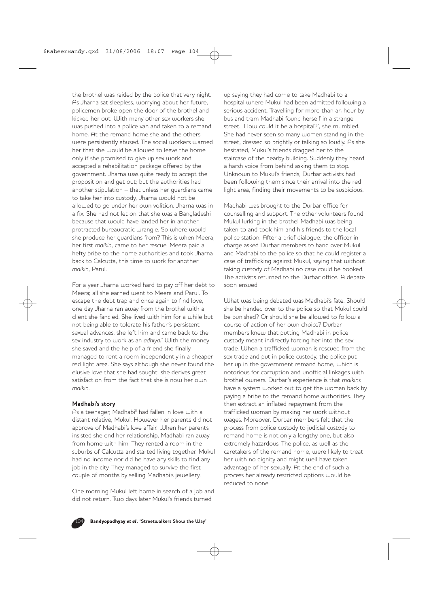the brothel was raided by the police that very night. As Jharna sat sleepless, worrying about her future, policemen broke open the door of the brothel and kicked her out. With many other sex workers she was pushed into a police van and taken to a remand home. At the remand home she and the others were persistently abused. The social workers warned her that she would be allowed to leave the home only if she promised to give up sex work and accepted a rehabilitation package offered by the government. Jharna was quite ready to accept the proposition and get out; but the authorities had another stipulation – that unless her guardians came to take her into custody, Jharna would not be allowed to go under her own volition. Jharna was in a fix. She had not let on that she was a Bangladeshi because that would have landed her in another protracted bureaucratic wrangle. So where would she produce her guardians from? This is when Meera, her first *malkin*, came to her rescue. Meera paid a hefty bribe to the home authorities and took Jharna back to Calcutta, this time to work for another *malkin*, Parul.

For a year Jharna worked hard to pay off her debt to Meera; all she earned went to Meera and Parul. To escape the debt trap and once again to find love, one day Jharna ran away from the brothel with a client she fancied. She lived with him for a while but not being able to tolerate his father's persistent sexual advances, she left him and came back to the sex industry to work as an *adhiya*. <sup>7</sup> With the money she saved and the help of a friend she finally managed to rent a room independently in a cheaper red light area. She says although she never found the elusive love that she had sought, she derives great satisfaction from the fact that she is now her own *malkin*.

#### **Madhabi's story**

As a teenager, Madhabi<sup>8</sup> had fallen in love with a distant relative, Mukul. However her parents did not approve of Madhabi's love affair. When her parents insisted she end her relationship, Madhabi ran away from home with him. They rented a room in the suburbs of Calcutta and started living together. Mukul had no income nor did he have any skills to find any job in the city. They managed to survive the first couple of months by selling Madhabi's jewellery.

One morning Mukul left home in search of a job and did not return. Two days later Mukul's friends turned

up saying they had come to take Madhabi to a hospital where Mukul had been admitted following a serious accident. Travelling for more than an hour by bus and tram Madhabi found herself in a strange street. 'How could it be a hospital?', she mumbled. She had never seen so many women standing in the street, dressed so brightly or talking so loudly. As she hesitated, Mukul's friends dragged her to the staircase of the nearby building. Suddenly they heard a harsh voice from behind asking them to stop. Unknown to Mukul's friends, Durbar activists had been following them since their arrival into the red light area, finding their movements to be suspicious.

Madhabi was brought to the Durbar office for counselling and support. The other volunteers found Mukul lurking in the brothel Madhabi was being taken to and took him and his friends to the local police station. After a brief dialogue, the officer in charge asked Durbar members to hand over Mukul and Madhabi to the police so that he could register a case of trafficking against Mukul, saying that without taking custody of Madhabi no case could be booked. The activists returned to the Durbar office. A debate soon ensued.

What was being debated was Madhabi's fate. Should she be handed over to the police so that Mukul could be punished? Or should she be allowed to follow a course of action of her own choice? Durbar members knew that putting Madhabi in police custody meant indirectly forcing her into the sex trade. When a trafficked woman is rescued from the sex trade and put in police custody, the police put her up in the government remand home, which is notorious for corruption and unofficial linkages with brothel owners. Durbar's experience is that *malkins* have a system worked out to get the woman back by paying a bribe to the remand home authorities. They then extract an inflated repayment from the trafficked woman by making her work without wages. Moreover, Durbar members felt that the process from police custody to judicial custody to remand home is not only a lengthy one, but also extremely hazardous. The police, as well as the caretakers of the remand home, were likely to treat her with no dignity and might well have taken advantage of her sexually. At the end of such a process her already restricted options would be reduced to none.

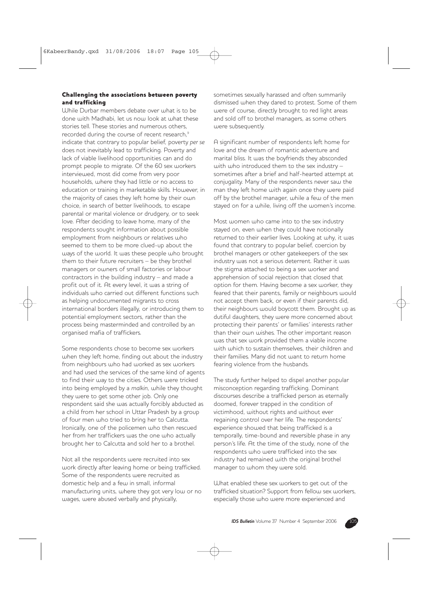## Challenging the associations between poverty and trafficking

While Durbar members debate over what is to be done with Madhabi, let us now look at what these stories tell. These stories and numerous others, recorded during the course of recent research,<sup>9</sup> indicate that contrary to popular belief, poverty *per se* does not inevitably lead to trafficking. Poverty and lack of viable livelihood opportunities can and do prompt people to migrate. Of the 60 sex workers interviewed, most did come from very poor households, where they had little or no access to education or training in marketable skills. However, in the majority of cases they left home by their own choice, in search of better livelihoods, to escape parental or marital violence or drudgery, or to seek love. After deciding to leave home, many of the respondents sought information about possible employment from neighbours or relatives who seemed to them to be more clued-up about the ways of the world. It was these people who brought them to their future recruiters – be they brothel managers or owners of small factories or labour contractors in the building industry – and made a profit out of it. At every level, it was a string of individuals who carried out different functions such as helping undocumented migrants to cross international borders illegally, or introducing them to potential employment sectors, rather than the process being masterminded and controlled by an organised mafia of traffickers.

Some respondents chose to become sex workers when they left home, finding out about the industry from neighbours who had worked as sex workers and had used the services of the same kind of agents to find their way to the cities. Others were tricked into being employed by a *malkin*, while they thought they were to get some other job. Only one respondent said she was actually forcibly abducted as a child from her school in Uttar Pradesh by a group of four men who tried to bring her to Calcutta. Ironically, one of the policemen who then rescued her from her traffickers was the one who actually brought her to Calcutta and sold her to a brothel.

Not all the respondents were recruited into sex work directly after leaving home or being trafficked. Some of the respondents were recruited as domestic help and a few in small, informal manufacturing units, where they got very low or no wages, were abused verbally and physically,

sometimes sexually harassed and often summarily dismissed when they dared to protest. Some of them were of course, directly brought to red light areas and sold off to brothel managers, as some others were subsequently.

A significant number of respondents left home for love and the dream of romantic adventure and marital bliss. It was the boyfriends they absconded with who introduced them to the sex industry – sometimes after a brief and half-hearted attempt at conjugality. Many of the respondents never saw the man they left home with again once they were paid off by the brothel manager, while a few of the men stayed on for a while, living off the women's income.

Most women who came into to the sex industry stayed on, even when they could have notionally returned to their earlier lives. Looking at why, it was found that contrary to popular belief, coercion by brothel managers or other gatekeepers of the sex industry was not a serious deterrent. Rather it was the stigma attached to being a sex worker and apprehension of social rejection that closed that option for them. Having become a sex worker, they feared that their parents, family or neighbours would not accept them back, or even if their parents did, their neighbours would boycott them. Brought up as dutiful daughters, they were more concerned about protecting their parents' or families' interests rather than their own wishes. The other important reason was that sex work provided them a viable income with which to sustain themselves, their children and their families. Many did not want to return home fearing violence from the husbands.

The study further helped to dispel another popular misconception regarding trafficking. Dominant discourses describe a trafficked person as eternally doomed, forever trapped in the condition of victimhood, without rights and without ever regaining control over her life. The respondents' experience showed that being trafficked is a temporally, time-bound and reversible phase in any person's life. At the time of the study, none of the respondents who were trafficked into the sex industry had remained with the original brothel manager to whom they were sold.

What enabled these sex workers to get out of the trafficked situation? Support from fellow sex workers, especially those who were more experienced and

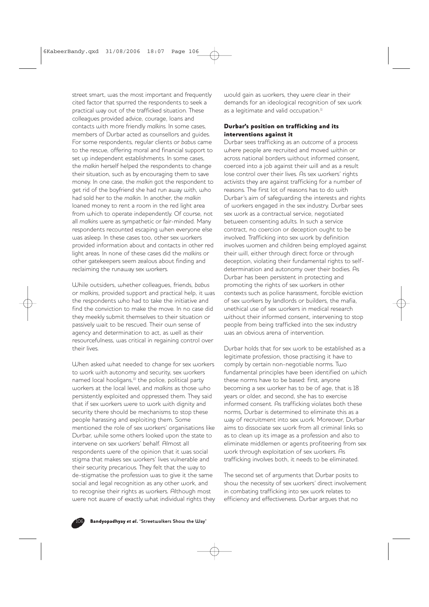street smart, was the most important and frequently cited factor that spurred the respondents to seek a practical way out of the trafficked situation. These colleagues provided advice, courage, loans and contacts with more friendly *malkins*. In some cases, members of Durbar acted as counsellors and guides. For some respondents, regular clients or *babus* came to the rescue, offering moral and financial support to set up independent establishments. In some cases, the *malkin* herself helped the respondents to change their situation, such as by encouraging them to save money. In one case, the *malkin* got the respondent to get rid of the boyfriend she had run away with, who had sold her to the *malkin*. In another, the *malkin* loaned money to rent a room in the red light area from which to operate independently. Of course, not all *malkins* were as sympathetic or fair-minded. Many respondents recounted escaping when everyone else was asleep. In these cases too, other sex workers provided information about and contacts in other red light areas. In none of these cases did the *malkins* or other gatekeepers seem zealous about finding and reclaiming the runaway sex workers.

While outsiders, whether colleagues, friends, *babus* or *malkins*, provided support and practical help, it was the respondents who had to take the initiative and find the conviction to make the move. In no case did they meekly submit themselves to their situation or passively wait to be rescued. Their own sense of agency and determination to act, as well as their resourcefulness, was critical in regaining control over their lives.

When asked what needed to change for sex workers to work with autonomy and security, sex workers named local hooligans,<sup>10</sup> the police, political party workers at the local level, and *malkins* as those who persistently exploited and oppressed them. They said that if sex workers were to work with dignity and security there should be mechanisms to stop these people harassing and exploiting them. Some mentioned the role of sex workers' organisations like Durbar, while some others looked upon the state to intervene on sex workers' behalf. Almost all respondents were of the opinion that it was social stigma that makes sex workers' lives vulnerable and their security precarious. They felt that the way to de-stigmatise the profession was to give it the same social and legal recognition as any other work, and to recognise their rights as workers. Although most were not aware of exactly what individual rights they would gain as workers, they were clear in their demands for an ideological recognition of sex work as a legitimate and valid occupation.<sup>11</sup>

# Durbar's position on trafficking and its interventions against it

Durbar sees trafficking as an *outcome* of a process where people are recruited and moved within or across national borders without informed consent, coerced into a job against their will and as a result lose control over their lives. As sex workers' rights activists they are against trafficking for a number of reasons. The first lot of reasons has to do with Durbar's aim of safeguarding the interests and rights of workers engaged in the sex industry. Durbar sees sex work as a contractual service, negotiated between consenting adults. In such a service contract, no coercion or deception ought to be involved. Trafficking into sex work by definition involves women and children being employed against their will, either through direct force or through deception, violating their fundamental rights to selfdetermination and autonomy over their bodies. As Durbar has been persistent in protecting and promoting the rights of sex workers in other contexts such as police harassment, forcible eviction of sex workers by landlords or builders, the mafia, unethical use of sex workers in medical research without their informed consent, intervening to stop people from being trafficked into the sex industry was an obvious arena of intervention.

Durbar holds that for sex work to be established as a legitimate profession, those practising it have to comply by certain non-negotiable norms. Two fundamental principles have been identified on which these norms have to be based: first, anyone becoming a sex worker has to be of age, that is 18 years or older, and second, she has to exercise informed consent. As trafficking violates both these norms, Durbar is determined to eliminate this as a way of recruitment into sex work. Moreover, Durbar aims to dissociate sex work from all criminal links so as to clean up its image as a profession and also to eliminate middlemen or agents profiteering from sex work through exploitation of sex workers. As trafficking involves both, it needs to be eliminated.

The second set of arguments that Durbar posits to show the necessity of sex workers' direct involvement in combating trafficking into sex work relates to efficiency and effectiveness. Durbar argues that no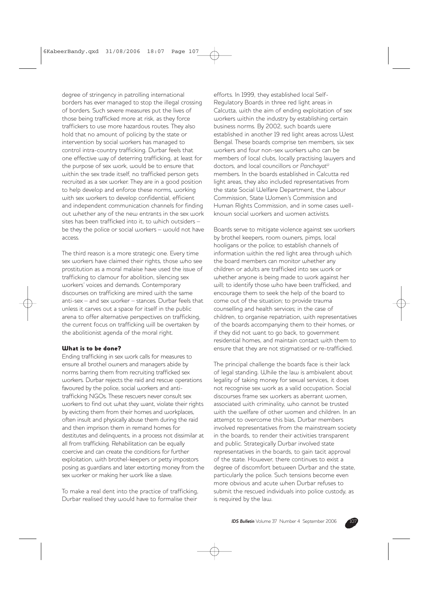degree of stringency in patrolling international borders has ever managed to stop the illegal crossing of borders. Such severe measures put the lives of those being trafficked more at risk, as they force traffickers to use more hazardous routes. They also hold that no amount of policing by the state or intervention by social workers has managed to control intra-country trafficking. Durbar feels that one effective way of deterring trafficking, at least for the purpose of sex work, would be to ensure that within the sex trade itself, no trafficked person gets recruited as a sex worker. They are in a good position to help develop and enforce these norms, working with sex workers to develop confidential, efficient and independent communication channels for finding out whether any of the new entrants in the sex work sites has been trafficked into it, to which outsiders – be they the police or social workers – would not have access.

The third reason is a more strategic one. Every time sex workers have claimed their rights, those who see prostitution as a moral malaise have used the issue of trafficking to clamour for abolition, silencing sex workers' voices and demands. Contemporary discourses on trafficking are mired with the same anti-sex – and sex worker – stances. Durbar feels that unless it carves out a space for itself in the public arena to offer alternative perspectives on trafficking, the current focus on trafficking will be overtaken by the abolitionist agenda of the moral right.

## What is to be done?

Ending trafficking in sex work calls for measures to ensure all brothel owners and managers abide by norms barring them from recruiting trafficked sex workers. Durbar rejects the raid and rescue operations favoured by the police, social workers and antitrafficking NGOs. These rescuers never consult sex workers to find out what *they* want, violate their rights by evicting them from their homes and workplaces, often insult and physically abuse them during the raid and then imprison them in remand homes for destitutes and delinquents, in a process not dissimilar at all from trafficking. Rehabilitation can be equally coercive and can create the conditions for further exploitation, with brothel-keepers or petty impostors posing as guardians and later extorting money from the sex worker or making her work like a slave.

To make a real dent into the practice of trafficking, Durbar realised they would have to formalise their

efforts. In 1999, they established local Self-Regulatory Boards in three red light areas in Calcutta, with the aim of ending exploitation of sex workers within the industry by establishing certain business norms. By 2002, such boards were established in another 19 red light areas across West Bengal. These boards comprise ten members, six sex workers and four non-sex workers who can be members of local clubs, locally practising lawyers and doctors, and local councillors or *Panchayat<sup>12</sup>* members. In the boards established in Calcutta red light areas, they also included representatives from the state Social Welfare Department, the Labour Commission, State Women's Commission and Human Rights Commission, and in some cases wellknown social workers and women activists.

Boards serve to mitigate violence against sex workers by brothel keepers, room owners, pimps, local hooligans or the police; to establish channels of information within the red light area through which the board members can monitor whether any children or adults are trafficked into sex work or whether anyone is being made to work against her will; to identify those who have been trafficked, and encourage them to seek the help of the board to come out of the situation; to provide trauma counselling and health services; in the case of children, to organise repatriation, with representatives of the boards accompanying them to their homes, or if they did not want to go back, to government residential homes, and maintain contact with them to ensure that they are not stigmatised or re-trafficked.

The principal challenge the boards face is their lack of legal standing. While the law is ambivalent about legality of taking money for sexual services, it does not recognise sex work as a valid occupation. Social discourses frame sex workers as aberrant women, associated with criminality, who cannot be trusted with the welfare of other women and children. In an attempt to overcome this bias, Durbar members involved representatives from the mainstream society in the boards, to render their activities transparent and public. Strategically Durbar involved state representatives in the boards, to gain tacit approval of the state. However, there continues to exist a degree of discomfort between Durbar and the state, particularly the police. Such tensions become even more obvious and acute when Durbar refuses to submit the rescued individuals into police custody, as is required by the law.

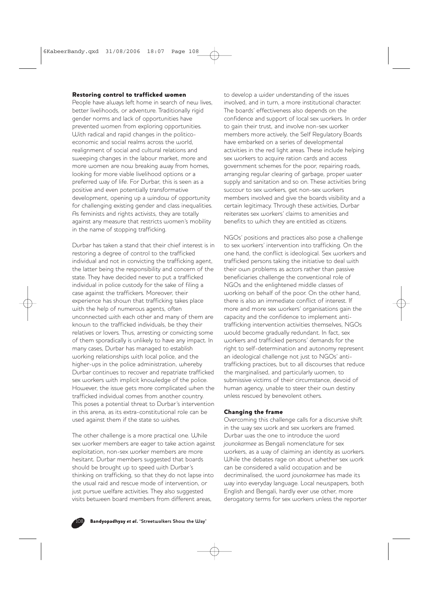#### Restoring control to trafficked women

People have always left home in search of new lives, better livelihoods, or adventure. Traditionally rigid gender norms and lack of opportunities have prevented women from exploring opportunities. With radical and rapid changes in the politicoeconomic and social realms across the world, realignment of social and cultural relations and sweeping changes in the labour market, more and more women are now breaking away from homes, looking for more viable livelihood options or a preferred way of life. For Durbar, this is seen as a positive and even potentially transformative development, opening up a window of opportunity for challenging existing gender and class inequalities. As feminists and rights activists, they are totally against any measure that restricts women's mobility in the name of stopping trafficking.

Durbar has taken a stand that their chief interest is in restoring a degree of control to the trafficked individual and not in convicting the trafficking agent, the latter being the responsibility and concern of the state. They have decided never to put a trafficked individual in police custody for the sake of filing a case against the traffickers. Moreover, their experience has shown that trafficking takes place with the help of numerous agents, often unconnected with each other and many of them are known to the trafficked individuals, be they their relatives or lovers. Thus, arresting or convicting some of them sporadically is unlikely to have any impact. In many cases, Durbar has managed to establish working relationships with local police, and the higher-ups in the police administration, whereby Durbar continues to recover and repatriate trafficked sex workers with implicit knowledge of the police. However, the issue gets more complicated when the trafficked individual comes from another country. This poses a potential threat to Durbar's intervention in this arena, as its extra-constitutional role can be used against them if the state so wishes.

The other challenge is a more practical one. While sex worker members are eager to take action against exploitation, non-sex worker members are more hesitant. Durbar members suggested that boards should be brought up to speed with Durbar's thinking on trafficking, so that they do not lapse into the usual raid and rescue mode of intervention, or just pursue welfare activities. They also suggested visits between board members from different areas,

to develop a wider understanding of the issues involved, and in turn, a more institutional character. The boards' effectiveness also depends on the confidence and support of local sex workers. In order to gain their trust, and involve non-sex worker members more actively, the Self Regulatory Boards have embarked on a series of developmental activities in the red light areas. These include helping sex workers to acquire ration cards and access government schemes for the poor, repairing roads, arranging regular clearing of garbage, proper water supply and sanitation and so on. These activities bring succour to sex workers, get non-sex workers members involved and give the boards visibility and a certain legitimacy. Through these activities, Durbar reiterates sex workers' claims to amenities and benefits to which they are entitled as citizens.

NGOs' positions and practices also pose a challenge to sex workers' intervention into trafficking. On the one hand, the conflict is ideological. Sex workers and trafficked persons taking the initiative to deal with their own problems as actors rather than passive beneficiaries challenge the conventional role of NGOs and the enlightened middle classes of working on behalf of the poor. On the other hand, there is also an immediate conflict of interest. If more and more sex workers' organisations gain the capacity and the confidence to implement antitrafficking intervention activities themselves, NGOs would become gradually redundant. In fact, sex workers and trafficked persons' demands for the right to self-determination and autonomy represent an ideological challenge not just to NGOs' antitrafficking practices, but to all discourses that reduce the marginalised, and particularly women, to submissive victims of their circumstance, devoid of human agency, unable to steer their own destiny unless rescued by benevolent others.

#### Changing the frame

Overcoming this challenge calls for a discursive shift in the way sex work and sex workers are framed. Durbar was the one to introduce the word *jounokarmee* as Bengali nomenclature for sex workers, as a way of claiming an identity as workers. While the debates rage on about whether sex work can be considered a valid occupation and be decriminalised, the word *jounokarmee* has made its way into everyday language. Local newspapers, both English and Bengali, hardly ever use other, more derogatory terms for sex workers unless the reporter